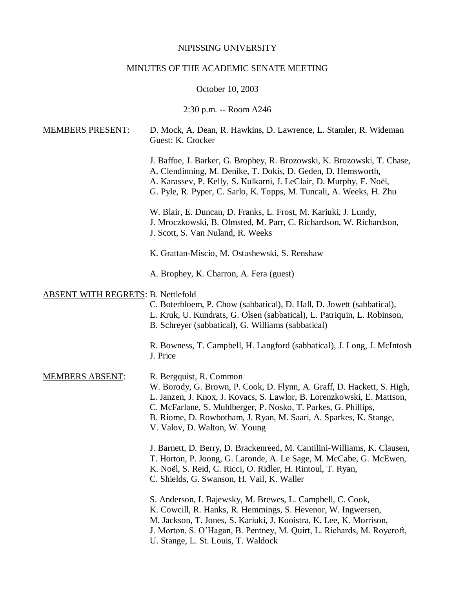## NIPISSING UNIVERSITY

## MINUTES OF THE ACADEMIC SENATE MEETING

October 10, 2003

2:30 p.m. -- Room A246

| <b>MEMBERS PRESENT:</b>                   | D. Mock, A. Dean, R. Hawkins, D. Lawrence, L. Stamler, R. Wideman<br>Guest: K. Crocker                                                                                                                                                                                                                                                              |
|-------------------------------------------|-----------------------------------------------------------------------------------------------------------------------------------------------------------------------------------------------------------------------------------------------------------------------------------------------------------------------------------------------------|
|                                           | J. Baffoe, J. Barker, G. Brophey, R. Brozowski, K. Brozowski, T. Chase,<br>A. Clendinning, M. Denike, T. Dokis, D. Geden, D. Hemsworth,<br>A. Karassev, P. Kelly, S. Kulkarni, J. LeClair, D. Murphy, F. Noël,<br>G. Pyle, R. Pyper, C. Sarlo, K. Topps, M. Tuncali, A. Weeks, H. Zhu                                                               |
|                                           | W. Blair, E. Duncan, D. Franks, L. Frost, M. Kariuki, J. Lundy,<br>J. Mroczkowski, B. Olmsted, M. Parr, C. Richardson, W. Richardson,<br>J. Scott, S. Van Nuland, R. Weeks                                                                                                                                                                          |
|                                           | K. Grattan-Miscio, M. Ostashewski, S. Renshaw                                                                                                                                                                                                                                                                                                       |
|                                           | A. Brophey, K. Charron, A. Fera (guest)                                                                                                                                                                                                                                                                                                             |
| <b>ABSENT WITH REGRETS: B. Nettlefold</b> | C. Boterbloem, P. Chow (sabbatical), D. Hall, D. Jowett (sabbatical),<br>L. Kruk, U. Kundrats, G. Olsen (sabbatical), L. Patriquin, L. Robinson,<br>B. Schreyer (sabbatical), G. Williams (sabbatical)                                                                                                                                              |
|                                           | R. Bowness, T. Campbell, H. Langford (sabbatical), J. Long, J. McIntosh<br>J. Price                                                                                                                                                                                                                                                                 |
| <b>MEMBERS ABSENT:</b>                    | R. Bergquist, R. Common<br>W. Borody, G. Brown, P. Cook, D. Flynn, A. Graff, D. Hackett, S. High,<br>L. Janzen, J. Knox, J. Kovacs, S. Lawlor, B. Lorenzkowski, E. Mattson,<br>C. McFarlane, S. Muhlberger, P. Nosko, T. Parkes, G. Phillips,<br>B. Riome, D. Rowbotham, J. Ryan, M. Saari, A. Sparkes, K. Stange,<br>V. Valov, D. Walton, W. Young |
|                                           | J. Barnett, D. Berry, D. Brackenreed, M. Cantilini-Williams, K. Clausen,<br>T. Horton, P. Joong, G. Laronde, A. Le Sage, M. McCabe, G. McEwen,<br>K. Noël, S. Reid, C. Ricci, O. Ridler, H. Rintoul, T. Ryan,<br>C. Shields, G. Swanson, H. Vail, K. Waller                                                                                         |
|                                           | S. Anderson, I. Bajewsky, M. Brewes, L. Campbell, C. Cook,<br>K. Cowcill, R. Hanks, R. Hemmings, S. Hevenor, W. Ingwersen,<br>M. Jackson, T. Jones, S. Kariuki, J. Kooistra, K. Lee, K. Morrison,<br>J. Morton, S. O'Hagan, B. Pentney, M. Quirt, L. Richards, M. Roycroft,<br>U. Stange, L. St. Louis, T. Waldock                                  |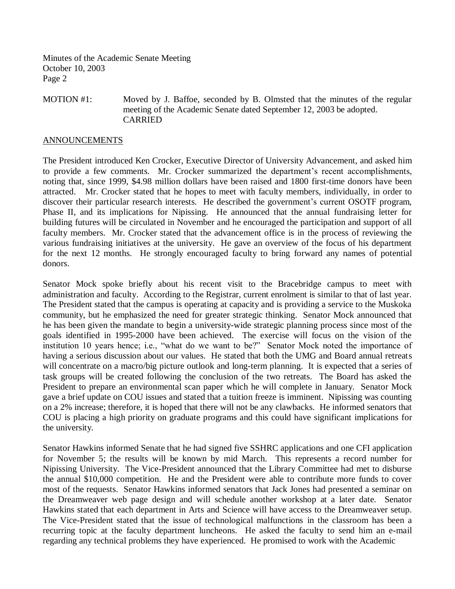Minutes of the Academic Senate Meeting October 10, 2003 Page 2

MOTION #1: Moved by J. Baffoe, seconded by B. Olmsted that the minutes of the regular meeting of the Academic Senate dated September 12, 2003 be adopted. CARRIED

## ANNOUNCEMENTS

The President introduced Ken Crocker, Executive Director of University Advancement, and asked him to provide a few comments. Mr. Crocker summarized the department's recent accomplishments, noting that, since 1999, \$4.98 million dollars have been raised and 1800 first-time donors have been attracted. Mr. Crocker stated that he hopes to meet with faculty members, individually, in order to discover their particular research interests. He described the government's current OSOTF program, Phase II, and its implications for Nipissing. He announced that the annual fundraising letter for building futures will be circulated in November and he encouraged the participation and support of all faculty members. Mr. Crocker stated that the advancement office is in the process of reviewing the various fundraising initiatives at the university. He gave an overview of the focus of his department for the next 12 months. He strongly encouraged faculty to bring forward any names of potential donors.

Senator Mock spoke briefly about his recent visit to the Bracebridge campus to meet with administration and faculty. According to the Registrar, current enrolment is similar to that of last year. The President stated that the campus is operating at capacity and is providing a service to the Muskoka community, but he emphasized the need for greater strategic thinking. Senator Mock announced that he has been given the mandate to begin a university-wide strategic planning process since most of the goals identified in 1995-2000 have been achieved. The exercise will focus on the vision of the institution 10 years hence; i.e., "what do we want to be?" Senator Mock noted the importance of having a serious discussion about our values. He stated that both the UMG and Board annual retreats will concentrate on a macro/big picture outlook and long-term planning. It is expected that a series of task groups will be created following the conclusion of the two retreats. The Board has asked the President to prepare an environmental scan paper which he will complete in January. Senator Mock gave a brief update on COU issues and stated that a tuition freeze is imminent. Nipissing was counting on a 2% increase; therefore, it is hoped that there will not be any clawbacks. He informed senators that COU is placing a high priority on graduate programs and this could have significant implications for the university.

Senator Hawkins informed Senate that he had signed five SSHRC applications and one CFI application for November 5; the results will be known by mid March. This represents a record number for Nipissing University. The Vice-President announced that the Library Committee had met to disburse the annual \$10,000 competition. He and the President were able to contribute more funds to cover most of the requests. Senator Hawkins informed senators that Jack Jones had presented a seminar on the Dreamweaver web page design and will schedule another workshop at a later date. Senator Hawkins stated that each department in Arts and Science will have access to the Dreamweaver setup. The Vice-President stated that the issue of technological malfunctions in the classroom has been a recurring topic at the faculty department luncheons. He asked the faculty to send him an e-mail regarding any technical problems they have experienced. He promised to work with the Academic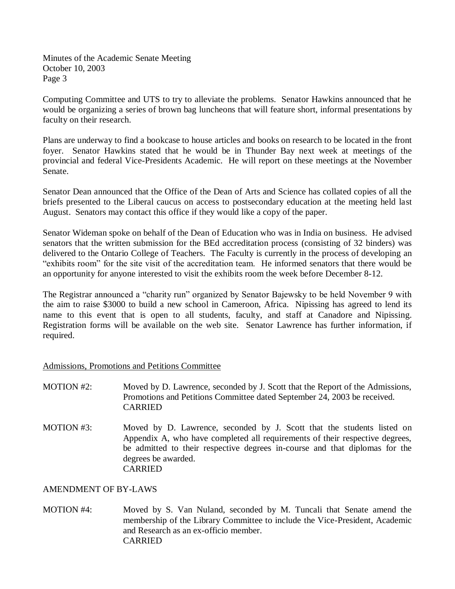Minutes of the Academic Senate Meeting October 10, 2003 Page 3

Computing Committee and UTS to try to alleviate the problems. Senator Hawkins announced that he would be organizing a series of brown bag luncheons that will feature short, informal presentations by faculty on their research.

Plans are underway to find a bookcase to house articles and books on research to be located in the front foyer. Senator Hawkins stated that he would be in Thunder Bay next week at meetings of the provincial and federal Vice-Presidents Academic. He will report on these meetings at the November Senate.

Senator Dean announced that the Office of the Dean of Arts and Science has collated copies of all the briefs presented to the Liberal caucus on access to postsecondary education at the meeting held last August. Senators may contact this office if they would like a copy of the paper.

Senator Wideman spoke on behalf of the Dean of Education who was in India on business. He advised senators that the written submission for the BEd accreditation process (consisting of 32 binders) was delivered to the Ontario College of Teachers. The Faculty is currently in the process of developing an "exhibits room" for the site visit of the accreditation team. He informed senators that there would be an opportunity for anyone interested to visit the exhibits room the week before December 8-12.

The Registrar announced a "charity run" organized by Senator Bajewsky to be held November 9 with the aim to raise \$3000 to build a new school in Cameroon, Africa. Nipissing has agreed to lend its name to this event that is open to all students, faculty, and staff at Canadore and Nipissing. Registration forms will be available on the web site. Senator Lawrence has further information, if required.

Admissions, Promotions and Petitions Committee

- MOTION #2: Moved by D. Lawrence, seconded by J. Scott that the Report of the Admissions, Promotions and Petitions Committee dated September 24, 2003 be received. CARRIED
- MOTION #3: Moved by D. Lawrence, seconded by J. Scott that the students listed on Appendix A, who have completed all requirements of their respective degrees, be admitted to their respective degrees in-course and that diplomas for the degrees be awarded. CARRIED

AMENDMENT OF BY-LAWS

MOTION #4: Moved by S. Van Nuland, seconded by M. Tuncali that Senate amend the membership of the Library Committee to include the Vice-President, Academic and Research as an ex-officio member. CARRIED